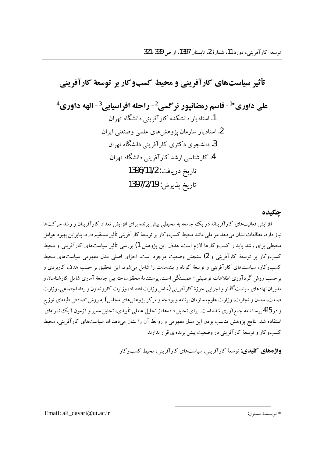# تأثیر سیاستهای کار آفرینی و محیط کسبوکار بر توسعهٔ کار آفرینی علی داوری<sup>14</sup>- قاسم رمضانپور نرگسی<sup>2</sup>- راحله افراسیاہے،<sup>3</sup>- الهه داوری<sup>4</sup> 1. استادیار دانشکده کار آفرینی دانشگاه تهران 2. استاد مار ساز مان پژو هش های علمی وصنعتی ایران 3. دانشجوی دکتری کار آفرینی دانشگاه تهران 4. کارشناسی ارشد کار آفر بنی دانشگاه تهران تاريخ دريافت: 1396/11/2 تاريخ پذيرش: 1397/2/19

#### جكىدە

افزایش فعالیتهای کارآفرینانه در یک جامعه به محیطی پیش برنده برای افزایش تعداد کارآفرینان و رشد شرکتها .<br>نیاز دارد.مطالعات نشان می دهد عواملی مانند محیط کسب وکار بر توسعهٔ کارآفرینی تأثیر مستقیم دارد.بنابراین بهبود عوامل محیطی برای رشد پایدار کسبوکارها لازم است. هدف این پژوهش 1) بررسی تأثیر سیاستهای کارآفرینی و محیط کسبوکار بر توسعهٔ کارآفرینی و 2) سنجش وضعیت موجود است. اجزای اصلی مدل مفهومی سیاستهای محیط .<br>کسبوکار، سیاستهای کارآفرینی و توسعهٔ کوتاه و بلندمدت را شامل می شود. این تحقیق بر حسب هدف کاربردی و برحسب روش گردآوری اطلاعات توصیفی- همبستگی است. پرسشنامهٔ محققساخته بین جامعهٔ آماری شامل کارشناسان و مدیران نهادهای سیاست گذار و اجرایی حوزهٔ کارآفرینی (شامل وزارت اقتصاد، وزارت کاروتعاون و رفاه اجتماعی، وزارت صنعت، معدن و تجارت، وزارت علوم، سازمان برنامه و بودجه و مركز پژوهشهاي مجلس) به روش تصادفي طبقهاي توزيع و در 415 پرسشنامه جمع آوری شده است. برای تحلیل دادهها از تحلیل عاملی تأییدی، تحلیل مسیر و آزمون t یک نمونهای استفاده شد. نتایج یژوهش مناسب بودن این مدل مفهومی و روابط آن را نشان میدهد اما سیاستهای کارآفرینی، محیط کسبوکار و توسعهٔ کارآفرینی در وضعیت پیش برندهای قرار ندارند.

**واژههای کلیدی:** توسعهٔ کار آفرینی، سیاستهای کار آفرینی، محیط کسبو کار

Email: ali\_davari@ut.ac.ir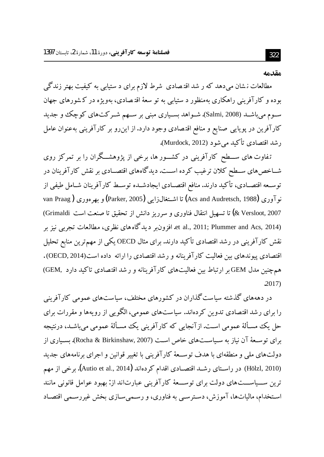#### مقدمه

مطالعات نشان میدهد که ر شد اقتصادی شرط لازم برای د ستیابی به کیفیت بهتر زندگی بوده و کارآفرینی راهکاری بهمنظور د ستیابی به تو سعهٔ اقتصادی، بهویژه در کشورهای جهان سـوم میباشــد (Salmi, 2008). شــواهد بســیاری مبنی بر ســهم شــرکتهای کوچک و جدید کارآفرین در پویایی صنایع و منافع اقتصادی وجود دارد. از این٫رو بر کارآفرینی بهعنوان عامل رشد اقتصادي تأكيد مي شود (Murdock, 2012).

تفاوت های ســـطح کارآفرینی در کشـــور ها، برخی از یژوهشـــگران را بر تمرکز روی شــاخص۵ای ســطح کلان ترغیب کرده اســت. دیدگاههای اقتصــادی بر نقش کارآفرینان در توســعه اقتصــادي، تأكيد دارند. منافع اقتصــادي ايجادشــده توســط كارآفرينان شــامل طيفي از نو آوري (Acs and Audretsch, 1988) تا اشــتغال(ايي (Parker, 2005) و بهر موري ( van Praag Wersloot, 2007 & تا تسهيل انتقال فناوري و سرريز دانش از تحقيق تا صنعت است Grimaldi) et al., 2011; Plummer and Acs, 2014). افزونبر دیدگاههای نظری، مطالعات تجربی نیز بر نقش کارآفرینی در رشد اقتصادی تأکید دارند. برای مثال OECD یکی از مهمترین منابع تحلیل اقتصادی پیوندهای بین فعالیت کارآفرینانه و رشد اقتصادی را ارائه داده است(OECD, 2014) . همچنین مدل GEM بر ارتباط بین فعالیتهای کارآفرینانه و رشد اقتصادی تاکید دارد GEM,  $.2017)$ 

در دهههای گذشته سیاست گذاران در کشورهای مختلف، سیاستهای عمومی کارآفرینی را برای رشد اقتصادی تدوین کردهاند. سیاستهای عمومی، الگویی از رویهها و مقررات برای حل یک مسـألهٔ عمومی اسـت. ازآنجایی که کارآفرینی یک مسـألهٔ عمومی میباشـد، درنتیجه برای توسـعهٔ آن نیاز به سـیاسـتهای خاص اسـت (Rocha & Birkinshaw, 2007). بسـیاری از دولتهای ملی و منطقهای با هدف توســعهٔ کارآفرینی با تغییر قوانین و اجرای برنامههای جدید (Hölzl, 2010) در راسـتاي رشــد اقتصــادي اقدام كردهاند (Autio et al., 2014). برخي از مهم ترین ســیاســـتهای دولت برای توســـعهٔ کارآفرینی عبارتاند از:بهبود عوامل قانونی مانند استخدام، مالیاتها، آموزش، دسترسبی به فناوری، و رسمی سازی بخش غیررسمی اقتصاد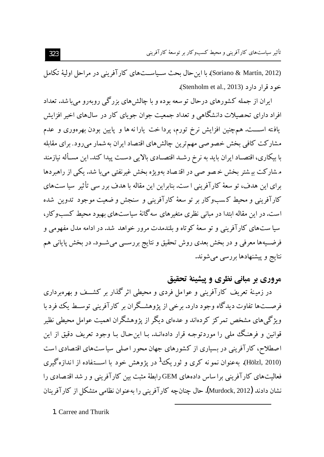(Soriano & Martín, 2012). با این حال بحث سـیاســتهای کارآفرینی در مراحل اولیهٔ تکامل خود قرار دارد (Stenholm et al., 2013).

ایران از جمله کشورهای درحال تو سعه بوده و با چالش های بزرگی روبهرو می باشد. تعداد افراد دارای تحصیلات دانشگاهی و تعداد جمعیت جوان جویای کار در سال@ای اخیر افزایش یافته اســـت. همچنین افزایش نرخ تورم، پرداخت یارانه ها و پایین بودن بهرهوری و عدم مشارکت کافی بخش خصوصی مهمترین چالشهای اقتصاد ایران به شمار میرود. برای مقابله با بیکاری، اقتصـاد ایران باید به نرخ رشـد اقتصـادی بالایی دسـت پیدا کند. این مسـأله نیازمند مشارکت پیشتر بخش خصو صی در اقتصاد بهویژه بخش غیرنفتی می با شد. یکی از راهبردها برای این هدف، تو سعهٔ کارآفرینی است. بنابراین این مقاله با هدف برر سی تأثیر ًسیا ستهای کارآفرینی و محیط کسبوکار بر تو سعهٔ کارآفرینی و سنجش و ضعیت موجود تدوین شده است. در این مقاله ابتدا در مبانی نظری متغیرهای سه گانهٔ سیاستهای بهبود محیط کسبوکار، سیا ستهای کارآفرینی و تو سعهٔ کو تاه و بلندمدت مرور خواهد شد. در ادامه مدل مفهومی و فرضــیهها معرفی و در بخش بعدی روش تحقیق و نتایج بررســی میشــود. در بخش پایانی هم نتايج و پيشنهادها بررسي مي شوند.

## مروري بر مباني نظري و پيشينهٔ تحقيق

در زمینهٔ تعریف کارآفرینی و عوامل فردی و محیطی اثر گذار بر کشــف و بهره رداری فرصـــتـها تفاوت ديدگاه وجود دارد. برخي از پژوهشــگران بر كارآفريني توســط يك فود با ویژگی های مشخص تمرکز کردهاند و عدهای دیگر از پژوهشگران اهمیت عوامل محیطی نظیر قوانین و فرهنگ ملمی را موردتوجـه قرار دادهانــد. بـا اینحـال بـا وجود تعریف دقیق از این اصطلاح، کارآفرینی در بسیاری از کشورهای جهان محور اصلی سیاستهای اقتصادی است (Hölzl, 2010). بهعنوان نمو نه کړی و ثوریک<sup>1</sup> در یژوهش خود با اســـتفاده از اندازهگیری فعالیتهای کارآفرینی برا ساس دادههای GEM رابطهٔ مثبت بین کارآفرینی و ر شد اقتصادی را نشان دادند (Murdock, 2012). حال چنان چه کار آفرینی را به عنوان نظامی متشکل از کار آفرینان

1. Carree and Thurik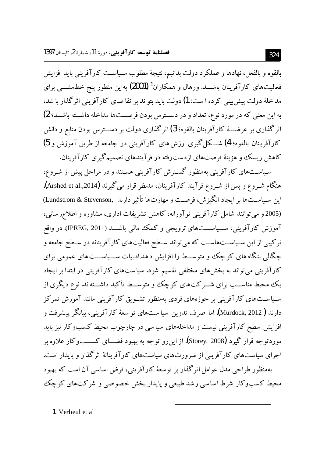بالقوه و بالفعل، نهادها و عملكرد دولت بدانيم، نتيجهٔ مطلوب سـياسـت كارآفريني بايد افزايش فعالیتهای کارآفرینان باشـــد. ورهال و همکاران<sup>1</sup> (2001) بهاین منظور پنج خطمشـــی برای مداخلهٔ دولت پیش بینی کرده ا ست: 1) دولت باید بتواند بر تقاضای کارآفرینی اثر گذار با شد، به این معنی که در مورد نوع، تعداد و در دسترس بودن فرصــتها مداخله داشــته باشــد؛ 2) اثر گذاری بر عرضـــهٔ کارآفرینان بالقوه؛ 3) اثر گذاری دولت بر دســـترس بودن منابع و دانش كارآفرينان بالقوه؛ 4) شـــكل گيرى ارزش هاى كارآفريني در جامعه از طريق آموزش و 5) کاهش ریسک و هزینهٔ فرصتهای ازدست رفته در فرآیندهای تصمیم گیری کارآفرینان.

سیاستهای کارآفرینی بهمنظور گسترش کارآفرینی هستند و در مراحل پیش از شـروع، هنگام شــروع و پس از شــروع فرآیند کارآفرینان، مدنظر قرار می گیرند (Arshed et al.,2014). اين سياستها بر ايجاد انگيزش، فرصت و مهارتها تأثير دارند ,Lundstrom & Stevenson) (2005 و می توانند شامل کارآفرینی نوآورانه، کاهش تشریفات اداری، مشاوره و اطلاعرسانی، آموزش کارآفرینی، ســـیاســـتهای ترویجی و کـمک مالی باشـــد (IPREG, 2011). در واقع ترکیبی از این سـیاسـتهاسـت که می تواند سـطح فعالیتهای کارآفرینانه در سـطح جامعه و چگالی بنگاه های کوچک و متوســـط را افزایش دهد.ادبیات ســـیاســـت های عمومی برای کارآفرینی میتواند به بخشهای مختلفی تقسیم شود. سیاستهای کارآفرینی در ابتدا بر ایجاد یک محیط مناســب برای شـــرکت۱ای کوچک و متوســط تأکید داشـــتهاند. نوع دیگری از سـیاســتهای کارآفرینی بر حوزههای فردی بهمنظور تشــویق کارآفرینی مانند آموزش تمرکز دارند ( Murdock, 2012). اما صرف تدوين سيا ستهاي تو سعهٔ كارآفريني، بيانگر پيشرفت و افزایش سطح کارآفرینی نیست و مداخلههای سیاسی در چارچوب محیط کسبوکار نیز باید موردتوجه قرار گیرد (Storey, 2008). از این رو توجه به بهبود فضــــای کســــــــــوکار علاوه بر اجرای سیاستهای کارآفرینی از ضرورتهای سیاستهای کارآفرینانهٔ اثرگذار و پایدار است. بهمنظور طراحی مدل عوامل اثرگذار بر توسعهٔ کارآفرینی، فرض اساسی آن است که بهبود محیط کسبوکار شرط اساسی رشد طبیعی و پایدار بخش خصوصی و شرکتهای کوچک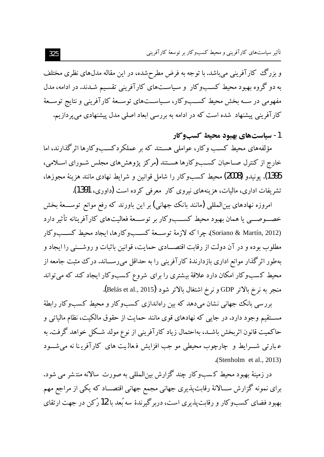تأثیر سیاستهای کارآفرینی و محیط کسبوکار بر توسعهٔ کارآفرینی

و بزرگ کارآفرینی می باشد. با توجه به فرض مطرحشده، در این مقاله مدلهای نظری مختلف به دو گروه بهبود محیط کسبوکار و سیاستهای کارآفرینی تقسیم شـدند. در ادامه، مدل مفهومی در ســه بخش محیط کســبوکار، ســیاســتهای توســعهٔ کارآفرینی و نتایج توســعهٔ کارآفرینی پیشنهاد شده است که در ادامه به بررسی ابعاد اصلی مدل پیشنهادی می پردازیم.

1- ساستهای بهبود محیط کسبوکار

مؤلفههای محیط کسب وکار، عواملی هستند که بر عملکردکسبوکارها اثرگذارند، اما خارج از کنترل صـاحبان کســـــوکارها هســتند (مرکز پژوهش۵ای مجلس شـورای اســلامی، 1395). يونيدو (2008) محيط كسبوكار را شامل قوانين و شرايط نهادي مانند هزينهٔ مجوزها، تشریفات اداری، مالیات، هزینههای نیروی کار ً معرفی کرده است (داوری، 1391).

امروزه نهادهای بین|لمللی (مانند بانک جهانی) بر این باورند که رفع موانع توســـعهٔ بخش خصـــوصـــي يا همان بهبود محيط كســـبوكار بر توســـعهٔ فعاليتهاي كارآفرينانه تأثير دارد (Soriano & Martín, 2012). چرا كه لازمهٔ توسـعهٔ كســبوكارها، ايجاد محيط كســبوكار مطلوب بوده و در آن دولت از رقابت اقتصـــادي حمايت، قوانين باثبات و روشـــني را ايجاد و بهطور اثرگذار موانع اداری بازدارندهٔ کارآفرینی را به حداقل می رســاند. درک مثبت جامعه از محیط کسبوکار امکان دارد علاقهٔ بیشتری را برای شروع کسبوکار ایجاد کند که می تواند منجر به نرخ بالاتر GDP و نرخ اشتغال بالاتر شود (Belás et al., 2015).

بررسی بانک جهانی نشان میدهد که بین راهاندازی کسبوکار و محیط کسبوکار رابطهٔ مســتقيم وجود دارد. در جايي كه نهادهاي قوى مانند حمايت از حقوق مالكيت، نظام مالياتي و حاكميت قانون اثربخش باشـد، بهاحتمال زياد كارآفريني از نوع مولد شـكل خواهد گرفت. به عبارتی شـــرایط و چارچوب محیطی مو جب افزایش فعالمیت های کارآفرینا نه می شـــود  $(Stenholm et al., 2013)$ 

در زمینهٔ بهبود محیط کسبوکار چند گزارش بینالمللی به صورت سالانه منتشر می شود. برای نمونه گزارش ســـالانهٔ رقابت پذیری جهانی مجمع جهانی اقتصـــاد که یکی از مراجع مهم بهبود فضای کسبوکار و رقابتپذیری است، دربرگیرندهٔ سه بُعد با 12رکن در جهت ارتقای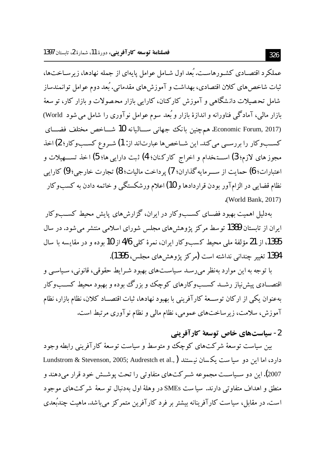عملکرد اقتصـادی کشـورهاسـت. بُعد اول شـامل عوامل پایهای از جمله نهادها، زیر سـاختها، ثبات شاخص های کلان اقتصادی، بهداشت و آموزش های مقدماتی. بُعد دوم عوامل توانمندساز شامل تحصیلات دانشگاهی و آموزش کارکنان، کارایی بازار محصولات و بازار کار، تو سعهٔ بازار مالی، آمادگی فناورانه و اندازهٔ بازار و بُعد سوم عوامل نو آوری را شامل می شود World) (Economic Forum, 2017. هم چنين بانك جهاني ســـاليانه 10 شـــاخص مختلف فضـــاي کســبوکار را بررســي مي کند. اين شــاخص ها عبارتاند از: 1) شــروع کســبوکار؛ 2) اخذ مجوز هاي لازم؛ 3) اســــتخدام و اخراج كاركنان؛ 4) ثبت دارايي ها؛ 5) اخذ تســــهيلات و اعتبارات؛ 6) حمايت از ســـر مايه گذاران؛ 7) يرداخت ماليات؛ 8) تجارت خارجي؛ 9) كارايي نظام قضایی در الزامآور بودن قراردادها و 10) اعلام ورشکستگی و خاتمه دادن به کسبوکار .(World Bank, 2017).

بهدلیل اهمیت بهبود فضــای کســـــــوکار در ایران، گزارش های پایش محیط کســـــــوکار ایران از تابستان 1389 تو سط مرکز پژوهش های مجلس شورای اسلامی منتشر می شود. در سال 1395، از 21 مؤلفهٔ ملی محیط کسبوکار ایران، نمرهٔ کلی 4/6 از 10 بوده و در مقایسه با سال 1394 تغییر چندانی نداشته است (مرکز پژوهش های مجلس، 1395).

با توجه به این موارد بهنظر میرسد سیاستهای بهبود شرایط حقوقی، قانونی، سیاسی و اقتصــادي پیش:پاز رشــد کســـــــوکارهاي کوچک و بزرگ بوده و بهبود محیط کســـــــوکار بهعنوان يكي از اركان توســعهٔ كارآفريني با بهبود نهادها، ثبات اقتصــاد كلان، نظام بازار، نظام آموزش، سلامت، زیرساختهای عمومی، نظام مالی و نظام نوآوری مرتبط است.

### 2- سياستهاي خاص توسعة كارآفريني

بین سیاست توسعهٔ شرکتهای کوچک و متوسط و سیاست توسعهٔ کارآفرینی رابطه وجود دارد، اما این دو سیا ست یکسان نیستند (.Lundstrom & Stevenson, 2005; Audrestch et al 2007). این دو سـیاســت مجموعه شــر کت۱های متفاوتی را تحت پوشــش خود قرار میدهند و منطق و اهداف متفاوتی دارند. سیاست SMEs در وهلهٔ اول بهدنبال تو سعهٔ شرکتهای موجود است. در مقابل، سیاست کارآفرینانه بیشتر بر فرد کارآفرین متمرکز می باشد. ماهیت چندبُعدی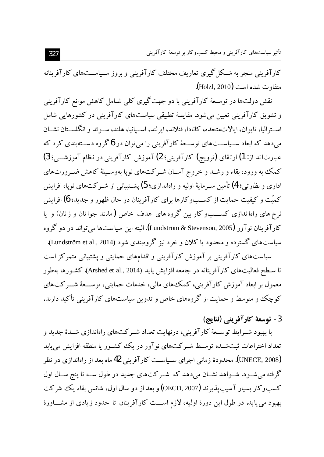کارآفرینی منجر به شـکل گیری تعاریف مختلف کارآفرینی و بروز سـیاســتهای کارآفرینانه متفاوت شده است (Hölzl, 2010).

نقش دولتها در توسـعهٔ کارآفرینی با دو جهت گیری کلی شـامل کاهش موانع کارآفرینی و تشویق کارآفرینی تعیین می شود. مقایسهٔ تطبیقی سیاستهای کارآفرینی در کشورهایی شامل استرالیا، تایوان، ایالاتمتحده، کانادا، فنلاند، ایرلند، اسـیانیا، هلند، سـوئد و انگلســتان نشــان میدهد که ابعاد ســیاســتهای توســعهٔ کارآفرینی را میتوان در 6 گروه دســتهبندی کرد که عبارت اند از: 1) ارتقای (ترویج) کار آفرینی؛ 2) آموزش کارآفرینی در نظام آموزشــی؛ 3) کمک به ورود، بقاء و رشـد و خروج آسـان شـرکتهای نویا بهوسـیلهٔ کاهش ضـرورتهای اداری و نظارتی؛ 4) تأمین سـرمایهٔ اولیه و راهاندازی؛ 5) پشــتیبانی از شــر کت\$ای نو یا، افزایش کمیّت و کیفیت حمایت از کســــــــوکارها برای کارآفرینان در حال ظهور و جدید؛ 6) افزایش كار آفرينان نو آور (Lundström & Stevenson, 2005). البته اين سياستها مي تواند در دو گروه سیاستهای گسترده و محدود یا کلان و خرد نیز گروهبندی شود (Lundström et al., 2014). سیاستهای کارآفرینی بر آموزش کارآفرینی و اقدامهای حمایتی و پشتیبانی متمرکز است تا سـطح فعاليتهاي كارآفرينانه در جامعه افزايش يايد (Arshed et al., 2014). كشـورها بهطور معمول پر ابعاد آموزش کارآفرینی، کمک های مالی، خدمات حمایتی، توســـعهٔ شـــرکت۱ای کوچک و متوسط و حمایت از گروههای خاص و تدوین سیاستهای کارآفرینی تأکید دارند.

3- توسعة كارآفريني (نتايج)

با بهبود شــرايط توســعهٔ كارآفريني، درنهايت تعداد شــركت۱اي راهاندازي شــدهٔ جديد و تعداد اختراعات ثبت شــده توســط شــرکت۱های نو آور در یک کشــور یا منطقه افزایش می یابد (UNECE, 2008). محدودهٔ زمانی اجرای سـیاســت کارآفرینی 42 ماه بعد از راهاندازی در نظر گرفته میشود. شـواهد نشـان میدهد که شـرکتهای جدید در طول سـه تا پنج سـال اول کسب وکار بسیار آ سیب پذیر ند (OECD, 2007) و بعد از دو سال اول، شانس بقاء یک شرکت بهبود می یابد. در طول این دورهٔ اولیه، لازم اســت کارآفرینان تا حدود زیادی از مشــاورهٔ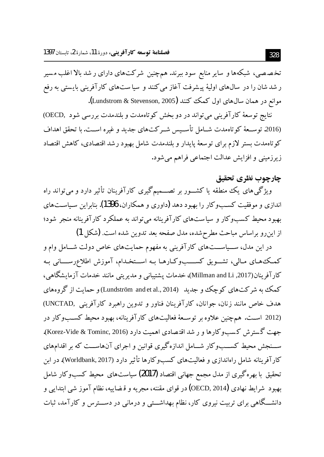تخصصی، شبکهها و سایر منابع سود ببرند. همچنین شرکتهای دارای ر شد بالا اغلب مسیر ر شد شان را در سال های اولیهٔ پیشرفت آغاز می کنند و سیا ستهای کارآفرینی بایستی به رفع موانع در همان سال های اول کمک کنند (Lundstrom & Stevenson, 2005).

نتايج توسعهٔ كارآفريني ميتواند در دو بخش كوتاهمدت و بلندمدت بررسي شود ,OECD) (2016. توسـعهٔ کو تاهمدت شــامل تأســيس شــرکت۱ای جدید و غیره اســت. با تحقق اهداف كوتاهمدت بستر لازم براى توسعهٔ پايدار و بلندمدت شامل بهبود رشد اقتصادى، كاهش اقتصاد زیرزمینی و افزایش عدالت اجتماعی فراهم می شود.

#### چارچوپ نظری تحقیق

ویژگی های یک منطقه یا کشــور بر تصــمیمگیری کارآفرینان تأثیر دارد و میتواند راه اندازی و موفقیت کســــوکار را بهبود دهد (داوری و همکاران، 1396). بنابراین سـیاســتهای بهبود محیط کسبوکار و سیاستهای کارآفرینانه می تواند به عملکرد کارآفرینانه منجر شود؛ از این رو براساس مباحث مطرح شده، مدل صفحه بعد تدوین شده است. (شکل 1)

در این مدل، ســیاســـتهای کارآفرینی به مفهوم حمایتهای خاص دولت شــامل وام و کمک های مـالی، تشـویق کســـبوکـارهـا بـه اســتخـدام، آموزش اطلاعررســـانی بـه كارآفرينان(2017, Millman and Li)، خدمات پشتيباني و مديريتي مانند خدمات آزمايشگاهي، کمک به شرکتهای کوچک و جدید (Lundström and et al., 2014) و حمایت از گروههای هدف خاص مانند زنان، جوانان، كارآفرينان فناور و تدوين راهبرد كارآفريني ,UNCTAD) (2012 اسـت. همچنین علاوه بر توسـعهٔ فعالیتهای کارآفرینانه، بهبود محیط کسـبوکار در جهت گسترش کسبوکارها و ر شد اقتصادی اهمیت دارد (Korez-Vide & Tominc, 2016). ســنجش محیط کســبوکار شــامل اندازهگیری قوانین و اجرای آنهاســت که بر اقدامهای کارآفرینانه شامل راهاندازی و فعالیتهای کسبوکارها تأثیر دارد (Worldbank, 2017). در ابن تحقیق با بهرهگیری از مدل مجمع جهانی اقتصاد (2017) سیاستهای محیط کسبوکار شامل بهبود شرايط نهادی (OECD, 2014) در قوای مقننه، مجريه و قـضاييه، نظام آموز شـی ابتدايـی و دانشــگاهی برای تربیت نیروی کار، نظام بهداشــتی و درمانی در دســـترس و کارآمد، ثبات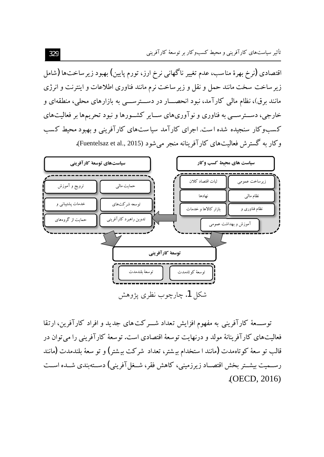تأثیر سیاستهای کارآفرینی و محیط کسبوکار بر توسعهٔ کارآفرینی

اقتصادی (نرخ بهرهٔ مناسب، عدم تغییر ناگهانی نرخ ارز، تورم پایین) بهبود زیر ساختها (شامل زیر ساخت سخت مانند حمل و نقل و زیر ساخت نرم مانند فناوری اطلاعات و اینترنت و انرژی مانند برق)، نظام مالی کارآمد، نبود انحصـــار در دســـترســـی به بازارهای محلی، منطقهای و خارجی، دســترســـی به فناوری و نوآوریهای ســـایر کشـــورها و نبود تحریمها بر فعالیتهای کسبوکار سنجیده شده است. اجرای کارآمد سیاستهای کارآفرینی و بهبود محیط کسب وكار به گسترش فعاليتهاى كارآفرينانه منجر مى شود (Fuentelsaz et al., 2015).



توســــعهٔ کارآفرینبی به مفهوم افزایش تعداد شــــرکت های جدید و افراد کارآفرین، ارتقا فعالیتهای کارآفرینانهٔ مولد و درنهایت توسعهٔ اقتصادی است. توسعهٔ کارآفرینی را می توان در قالب تو سعهٔ کوتاهمدت (مانند ا ستخدام بیشتر، تعداد شرکت بیشتر) و تو سعهٔ بلندمدت (مانند رســمیت بیشــتر بخش اقتصــاد زیرزمینی، کاهش فقر، شــغل آفرینی) دســتهبندی شــده اســت  $. (OECD, 2016)$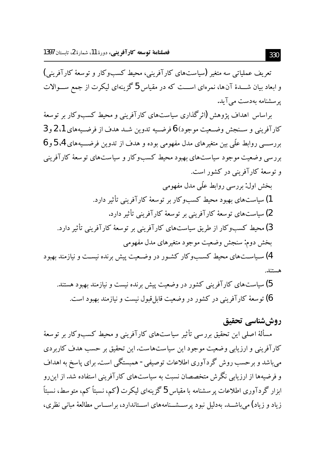تعریف عملیاتی سه متغیر (سیاستهای کارآفرینی، محیط کسبوکار و توسعهٔ کارآفرینی) و ابعاد بیان شـــدهٔ آنها، نمرهای اســـت که در مقیاس 5 گزینهای لیکرت از جمع ســـوالات یر سشنامه بهدست می آید.

براساس اهداف یژوهش (اثرگذاری سیاستهای کارآفرینی و محیط کسبوکار بر توسعهٔ كارآفريني و سـنجش وضـعيت موجود) 6 فرضـيه تدوين شـد هدف از فرضـيههاي 1، 2 و 3 بررســـي روابط علَّمي بين متغيرهاي مدل مفهومي بوده و هدف از تدوين فرضـــيههاي 4، 5 و 6 بررسی وضعیت موجود سیاستهای بهبود محیط کسبوکار و سیاستهای تو سعهٔ کارآفرینی و توسعهٔ کارآفرینی در کشور است.

- بخش اول: بررسی روابط علّی مدل مفهومی 1) سیاستهای بهبود محیط کسبوکار بر توسعهٔ کارآفرینی تأثیر دارد. 2) سیاستهای توسعهٔ کارآفرینی بر توسعهٔ کارآفرینی تأثیر دارد. 3) محیط کسبوکار از طریق سیاستهای کارآفرینی بر توسعهٔ کارآفرینی تأثیر دارد. بخش دوم: سنجش وضعيت موجود متغيرهاي مدل مفهومي 4) سیاستهای محیط کســــوکار کشـور در وضـعیت پیش برنده نیسـت و نیازمند بهبود هستند.
	- 5) سیاست های کارآفرینی کشور در وضعیت پیش برنده نیست و نیازمند بهبود هستند. 6) تو سعهٔ کارآفرینی در کشور در وضعیت قابل قبول نیست و نیازمند بهبود است.

# روششناسي تحقيق

مسألهٔ اصلی این تحقیق بررسی تأثیر سیاستهای کارآفرینی و محیط کسبوکار بر توسعهٔ کارآفرینی و ارزیابی وضعیت موجود این سیاستهاست. این تحقیق بر حسب هدف کاربردی می باشد و بر حسب روش گر دآوری اطلاعات توصیفی - همبستگی است. برای پاسخ به اهداف و فرضیهها از ارزیابی نگرش متخصصان نسبت به سیاستهای کارآفرینی استفاده شد. از ابن و ابزار گردآوری اطلاعات پر سشنامه با مقیاس 5 گزینهای لیکرت (کم، نسبتاً کم، متو سط، نسبتاً زیاد و زیاد) می باشــد. بهدلیل نبود پرســشــنامههای اســتاندارد، براســاس مطالعهٔ مبانی نظری،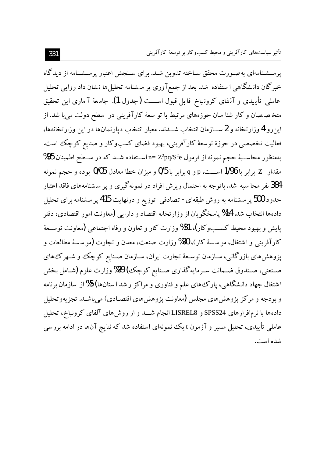یرسشنامهای بهصورت محقق سـاخته تدوین شـد. برای سـنجش اعتبار پرسـشـنامه از دیدگاه خبرگان دانشگاهی ا ستفاده شد. بعد از جمع آوری پر سشنامه تحلیلها نشان داد روایی تحلیل عاملي تأييدي و آلفاي كرونباخ قابل قبول اســـت (جدول 1). جامعهٔ آماري اين تحقيق متخـصـصان و کار شنا سان حوزههای مرتبط با تو سعهٔ کارآفرینی در سطح دولت میبا شد. از این رو 4 وزارتخانه و 2 ســـازمان انتخاب شـــدند. معیار انتخاب دیارتمانها در این وزارتخانهها، فعالیت تخصصی در حوزهٔ توسعهٔ کارآفرینی، بهبود فضای کسبوکار و صنایع کوچک است. بهمنظور محاســبهٔ حجم نمونه از فرمول n= Z $^2$ pq/S اســتفاده شــد که در ســطح اطمینان 95% مقدار ∑ برابر با 1/96 اســـت. p و q برابر با 0/5 و ميزان خطا معادل 0/05 بوده و حجم نمونه 384 نفر محا سبه شد. باتو جه به احتمال ریز ش افراد در نمونه گیری و پر سـشنامههای فاقد اعتبار حدود 500 پر سشنامه به روش طبقهای- تصادفی ِ توزیع و درنهایت 415 پر سشنامه برای تحلیل دادهها انتخاب شد. 14% پاسخگو پان از وزارتخانه اقتصاد و دارایی (معاونت امور اقتصادی، دفتر یایش و بهبود محیط کســــــــوکار)، 31% وزارت کار و تعاون و رفاه اجتماعی (معاونت توســعهٔ کار آفرینی و اشتغال، مو سسهٔ کار)، 20% وزارت صنعت، معدن و تجارت (مو سسهٔ مطالعات و یژوهش های بازرگانی، سـازمان توسـعهٔ تجارت ایران، سـازمان صـنایع کوچک و شـهرک های صـنعتي، صـندوق ضـمانت سـرمايه گذاري صـنايع كوچك) 29% وزارت علوم (شـامل بخش اشتغال جهاد دانشگاهی، پارک های علم و فناوری و مراکز ر شد استانها) 5% از سازمان برنامه و بودجه و مرکز پژوهش های مجلس (معاونت پژوهش های اقتصـادی) می باشـد. تجزیهوتحلیل دادهها با نرمافزارهای SPSS24 و LISREL8 انجام شـــد و از روشهای آلفای کرونباخ، تحلیل عاملی تأییدی، تحلیل مسیر و آزمون t یک نمونهای استفاده شد که نتایج آنها در ادامه بررسی شده است.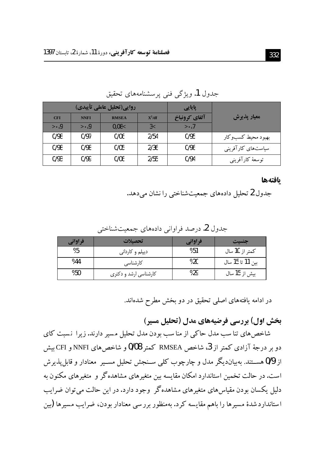| روایی(تحلیل عاملی تأییدی) |                                 |              | یایایی   |               |                    |
|---------------------------|---------------------------------|--------------|----------|---------------|--------------------|
| <b>CFI</b>                | <b>NNFI</b>                     | <b>RMSEA</b> | $X^2/df$ | آلفاي كرونباخ | معيار يذيرش        |
| $\rightarrow 0$           | $\mathcal{P} \cdot \mathcal{Q}$ | 0.08<        | 3<       | > 7           |                    |
| 0/98                      | 0/97                            | 0/06         | 2/54     | 0/95          | بهبود محيط كسبوكار |
| 0/98                      | 0/98                            | 0/05         | 2/36     | 0/96          | سیاستهای کارآفرینی |
| 0/93                      | 0/99                            | 0/06         | 2/55     | 0/94          | توسعهٔ کارآفرینبی  |

جدول 1. ویژگی فنی پرسشنامههای تحقیق

بافتهها

جدول 2 تحلیل دادههای جمعیتشناختی را نشان میدهد.

جدول 2. درصد فراواني دادههاي جمعيتشناختي

| فراواني | تحصلات                  | فراواني | جنست             |
|---------|-------------------------|---------|------------------|
| %5      | دیپلم و کاردان <i>ی</i> | %51     | كمتر از 10 سال   |
| %44     | کارشناسی                | %20     | بين 11 تا 15 سال |
| %50     | کارشناسی ارشد و دکتری   | %29     | بیش از 15 سال    |

در ادامه یافتههای اصلی تحقیق در دو بخش مطرح شدهاند.

**یخش اول) بررسی فرضدهای مدل (تحلیل مسیر)** 

شاخصهای تنا سب مدل حاکی از منا سب بودن مدل تحلیل مسیر دارند. زیرا نسبت کای دو بر درجهٔ آزادی کمتر از 3، شاخص RMSEA کمتر 0/08 و شاخصهای NNFIو CFI بیش از 0/9 هســـتند. بهبیاندیگر مدل و چارچوب کلمی ســنجش تحلیل مســیر معنادار و قابل پذیر ش است. در حالت تخمین استاندارد امکان مقایسه بین متغیرهای مشاهدهگر و متغیرهای مکنون به دلیل یکسان بودن مقیاس های متغیر های مشاهده گر ً وجود دارد. در این حالت می توان ضرایب استانداردشدهٔ مسیرها را باهم مقایسه کرد. بهمنظور بررسی معنادار بودن، ضرایب مسیرها (بین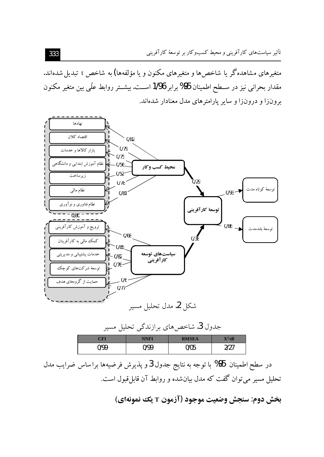متغیر های مشاهدهگر یا شاخص ها و متغیر های مکنون و یا مؤلفهها) به شاخص t تبدیل شدهاند. مقدار بحراني نيز در ســطح اطمينان 95% برابر 1/96 اســت. بيشــتر روابط علّـي بين متغير مكنون برونزا و درونزا و سایر پارامترهای مدل معنادار شدهاند.



جدول **3**. شاخص های برازندگی تحلیل مسیر

| $^{\circ}$ FI | <b>NNFI</b> | <b>RMSEA</b> | $\mathbf{X}^2/\mathbf{df}$<br>23 |
|---------------|-------------|--------------|----------------------------------|
| 0/99          | N/00        | 0/05         | דרוי                             |

در سطح اطمینان 95% با توجه به نتایج جدول 3 و پذیرش فرضیهها براساس ضرایب مدل تحلیل مسیر میتوان گفت که مدل بیان شده و روابط آن قابل قبول است.

**بخش دوم: سنجش وضعيت موجود (آزمون T يك نمونهاي)**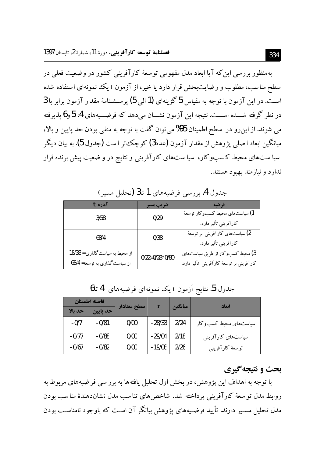بهمنظور بررسی این که آیا ابعاد مدل مفهومی توسعهٔ کارآفرینی کشور در وضعیت فعلی در سطح مناسب، مطلوب و رضایتبخش قرار دارد یا خیر، از آزمون t یک نمونهای استفاده شده است. در این آزمون با توجه به مقیاس 5 گزینهای (1 الی 5) پرسشنامهٔ مقدار آزمون برابر با 3 در نظر گرفته شـــده اســـت. نتیجه این آزمون نشـــان می٫دهد که فرضـــیههای 4، 5 و6 یذیرفته مي شوند. از اين رو در ٍ سطح اطمينان 95% مي توان گفت با توجه به منفي بودن حد پايين و بالا، میانگین ابعاد اصلی یژوهش از مقدار آزمون (عدد3) کوچک تر است (جدول 5). به بیان دیگر سیا ستهای محیط کسبوکار، سیا ستهای کارآفرینی و نتایج در و ضعیت پیش برنده قرار ندارد و نیازمند بهبود هستند.

| آماره $t$                      | ضريب مسير        | فرضيه                                     |
|--------------------------------|------------------|-------------------------------------------|
| 3/58                           | 0/29             | 1) سیاستهای محیط کسبوکار توسعهٔ           |
|                                |                  | كارآفريني تأثير دارد.                     |
| 68/4                           | 0/38             | 2) سیاستهای کارآفرینی بر توسعهٔ           |
|                                |                  | كارآفريني تأثير دارد.                     |
| از محیط به سیاست گذاری = 18/33 | $0/22=0/28*0/80$ | 3) محیط کسبوکار از طریق سیاستهای          |
| از سیاست گذاری به توسعه= 68/4  |                  | کارآفرینی بر توسعهٔ کارآفرینی تأثیر دارد. |

جدول 4. بررسی فرضیههای 1 تا3 (تحلیل مسیر)

| فاصله اطمينان |          | سطح معنادار | T        | ميانگين | اىعاد                   |
|---------------|----------|-------------|----------|---------|-------------------------|
| حد بالا       | حد يايين |             |          |         |                         |
| -0/7          | $-0/81$  | 0/00        | $-28/33$ | 2/24    | سیاستهای محیط کسب و کار |
| $-0/77$       | $-0/88$  | 0/00        | $-29/04$ | 2/18    | سیاستهای کارآفرینی      |
| $-0/67$       | $-0/82$  | 0/00        | $-19/08$ | 2/26    | توسعهٔ کارآفرینبی       |

جدول 5. نتايج آزمون t يک نمونهاي فرضيههاي 4 تا6

#### بحث و نتيجه گيري

با توجه به اهداف این پژوهش، در بخش اول تحلیل یافتهها به برر سی فرضیههای مربوط به روابط مدل تو سعهٔ کارآفرینی پرداخته شد. شاخص های تناسب مدل نشاندهندهٔ مناسب بودن مدل تحلیل مســبر دارند. تأیید فرضـیههای یژوهش بیانگر آن اسـت که باوجود نامناســب بودن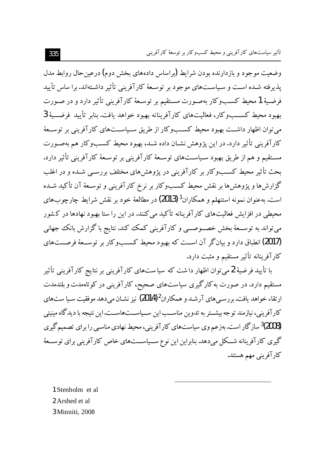وضعیت موجود و بازدارنده بودن شرایط (براساس دادههای بخش دوم) درعین حال روابط مدل یذیرفته شـده اسـت و سـیاسـتهای موجود بر توسـعهٔ کارآفرینی تأثیر داشـتهاند. برا ساس تأیید فرضيهٔ 1محيط كسـبوكار بهصـورت مسـتقيم بر توسـعهٔ كارآفريني تأثير دارد و در صـورت بهبود محيط كســبوكار، فعاليتهاي كارآفرينانه بهبود خواهد يافت. بنابر تأييد فرضــية 3 می توان اظهار داشت بهبود محیط کســبوکار از طریق ســیاســتهای کارآفرینی بر توســعهٔ کارآفرینی تأثیر دارد. در این یژوهش نشـان داده شــد، بهبود محیط کســبوکار هم بهصـورت مسـتقيم و هم از طريق بهبود سـياسـتهاي توسـعهٔ كارآفريني بر توسـعهٔ كارآفريني تأثير دارد. بحث تأثیر محیط کسـبوکار بر کارآفرینی در پژوهش های مختلف بررسـبی شـده و در اغلب گزارش ها و یژوهش ها بر نقش محیط کســــــوکار بر نرخ کارآفرینی و توســعهٔ آن تأکید شــده است. بهعنوان نمونه استنهلم و همکاران<sup>1</sup> (2013) در مطالعهٔ خود بر نقش شرایط چارچوبهای محیطی در افزایش فعالیتهای کارآفرینانه تأکید می کنند. در این را ستا بهبود نهادها در کشور می تواند به توســعهٔ بخش خصــوصــی و کارآفرینی کمک کند. نتایج باگزارش بانک جهانی (2017) انطباق دارد و بیان گر آن اسـت که بهبود محیط کســبوکار بر توسـعهٔ فرصــتهای كارآفرينانه تأثير مستقيم و مثبت دارد.

با تأیید فرضیهٔ 2میتوان اظهار داشت که سیاستهای کارآفرینی بر نتایج کارآفرینی تأثیر مستقیم دارد. در صورت به کارگیری سیاستهای صحیح، کارآفرینی در کوتاهمدت و بلندمدت ارتقاء خواهد یافت. بررسی های آرشـد و همکاران2(2014) نیز نشـان می دهد موفقیت سـیا ست.های کارآفرینی، نیازمند توجه بیشــتر به تدوین مناســب این ســیاســتهاســت.این نتیجه با دیدگاه مینیتی (2008)<sup>3</sup>ساز گار است.بهزعم وی سیاستهای کارآفرینی، محیط نهادی مناسبی را برای تصمیم گیری گیری کارآفرینانه شــکل میدهد.بنابراین این نوع ســیاســـتهای خاص کارآفرینی برای توســعهٔ كارآفريني مهم هستند.

1 Stenholm et al 2 Arshed et al 3 Minniti, 2008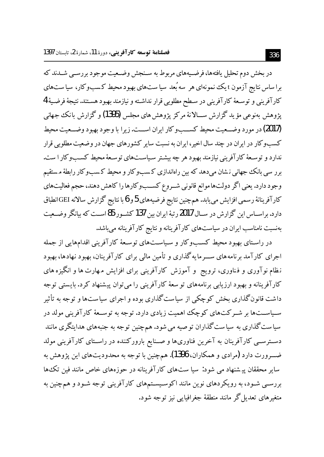در بخش دوم تحلیل یافتهها، فرضیههای مربوط به سنجش وضعیت موجود بررسبی شــدند که برا ساس نتایج آزمون t یک نمونهای هر سه بُعد سیا ست،های بهبود محیط کسبوکار، سیا ستهای كارآفريني و توسعهٔ كارآفريني در سطح مطلوبي قرار نداشته و نيازمند بهبود هستند. نتيجهٔ فرضيهٔ 4 يژوهش بەنوعىي مؤيد گزارش ســـالانۀ مركز يژوهش هاي مجلس (1395) و گزارش بانك جهانبي (2017) در مورد وضــعیت محیط کســـــــو کار ایران اســـت. زیرا با وجود بهبود وضــعیت محیط کسبوکار در ایران در چند سال اخیر، ایران به نسبت سایر کشورهای جهان در وضعیت مطلوبی قرار ندارد و توسـعهٔ کارآفرینی نیازمند بهبود هر چه بیشـتر سـیاسـتهای توسـعهٔ محیط کســـــوکار ا ست. برر سی بانک جهانی نشان میدهد که بین راهاندازی کسبوکار و محیط کسبوکار رابطهٔ مستقیم وجود دارد. یعنی اگر دولتها موانع قانونی شـروع کسـبوکارها را کاهش دهند، حجم فعالیتهای كارآفرينانهٔ رسمي افزايش مي يابد. هم چنين نتايج فرضيههاي 5و 6 با نتايج گزارش سالانه GEI انطباق دارد. براســاس این گزارش در ســال 2017 رتبهٔ ایران بین 137 کشــور 85اســت که بیانگر وضــعیت بهنسبت نامناسب ایران در سیاستهای کارآفرینانه و نتایج کارآفرینانه می باشد.

در راسـتای بهبود محیط کسـبوکار و سـیاسـتهای توسـعهٔ کارآفرینی اقدامهایی از جمله اجرای کارآمد برنامههای ســـرمایه گذاری و تأمین مالی برای کارآفرینان، بهبود نهادها، بهبود نظام نوآوری و فـناوری، ترویج ًو آموزش کارآفرینی برای افزایش مـهارت ها و انگیزه های کارآفرینانه و بهبود ارزیابی برنامههای تو سعهٔ کارآفرینی را میتوان پیشنهاد کرد. بایستی توجه داشت قانون گذاری بخش کوچکی از سیاست گذاری بوده و اجرای سیاستها و توجه به تأثیر سـیاســتها بر شــرکتهای کوچک اهمیت زیادی دارد. توجه به توســعهٔ کارآفرینی مولد در سیاست گذاری به سیاست گذاران توصیه می شود. همچنین توجه به جنبههای هدایتگری مانند دسترســی کارآفرینان به آخرین فناوریها و صــنایع بارورکننده در راسـتای کارآفرینی مولد ضـــرورت دارد (مرادی و همکاران، 1396). همچنین با توجه به محدودیتهای این پژوهش به سایر محققان پیشنهاد می شود: سیا ستهای کارآفرینانه در حوزههای خاص مانند فین تک ها بررســی شــود، به رویکردهای نوین مانند اکوســیســتمهای کارآفرینی توجه شــود و همچنین به متغیرهای تعدیل گر مانند منطقهٔ جغرافیایی نیز توجه شود.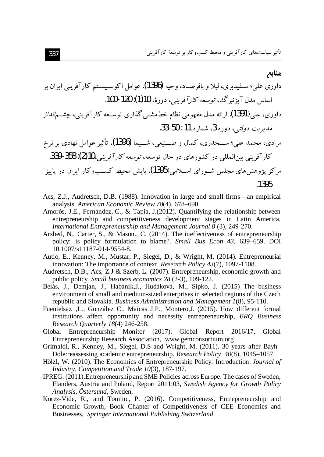- Acs, Z.J., Audretsch, D.B. (1988). Innovation in large and small firms—an empirical analysis. American Economic Review 78(4), 678-690.
- Amorós, J.E., Fernández, C., & Tapia, J. (2012). Quantifying the relationship between entrepreneurship and competitiveness development stages in Latin America. International Entrepreneurship and Management Journal 8 (3), 249-270.
- Arshed, N., Carter, S., & Mason., C. (2014). The ineffectiveness of entrepreneurship policy: is policy formulation to blame?. Small Bus Econ 43, 639-659. DOI 10.1007/s11187-014-9554-8.
- Autio, E., Kenney, M., Mustar, P., Siegel, D., & Wright, M. (2014). Entrepreneurial innovation: The importance of context. Research Policy 43(7), 1097-1108.
- Audretsch, D.B., Acs, Z.J & Szerb, L. (2007). Entrepreneurship, economic growth and public policy. Small business economics 28 (2-3), 109-122.
- Belás, J., Demjan, J., Habánik, J., Hudáková, M., Sipko, J. (2015) The business environment of small and medium-sized enterprises in selected regions of the Czech republic and Slovakia. Business Administration and Management 1(8), 95-110.
- Fuentelsaz ,L., González C., Maícas J.P., Montero,J. (2015). How different formal institutions affect opportunity and necessity entrepreneurship, BRO Business Research Ouarterly 18(4) 246-258.
- Global Entrepreneurship Monitor (2017). Global Report 2016/17, Global Entrepreneurship Research Association, www.gemconsortium.org
- Grimaldi, R., Kenney, M., Siegel, D.S and Wright, M. (2011). 30 years after Bayh-Dole:reassessing academic entrepreneurship. Research Policy 40(8), 1045-1057.
- Hölzl, W. (2010). The Economics of Entrepreneurship Policy: Introduction. Journal of Industry, Competition and Trade 10(3), 187-197.
- IPREG. (2011). Entrepreneurship and SME Policies across Europe: The cases of Sweden, Flanders, Austria and Poland, Report 2011:03, Swedish Agency for Growth Policy Analysis, Östersund, Sweden.
- Korez-Vide, R., and Tominc, P. (2016). Competitiveness, Entrepreneurship and Economic Growth, Book Chapter of Competitiveness of CEE Economies and Businesses, Springer International Publishing Switzerland